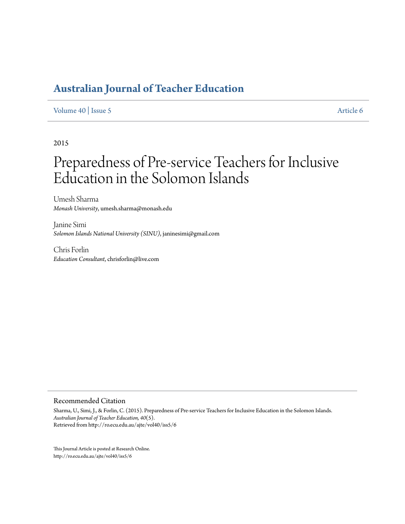# **[Australian Journal of Teacher Education](http://ro.ecu.edu.au/ajte)**

### [Volume 40](http://ro.ecu.edu.au/ajte/vol40) | [Issue 5](http://ro.ecu.edu.au/ajte/vol40/iss5) [Article 6](http://ro.ecu.edu.au/ajte/vol40/iss5/6)

2015

# Preparedness of Pre-service Teachers for Inclusive Education in the Solomon Islands

Umesh Sharma *Monash University*, umesh.sharma@monash.edu

Janine Simi *Solomon Islands National University (SINU)*, janinesimi@gmail.com

Chris Forlin *Education Consultant*, chrisforlin@live.com

#### Recommended Citation

Sharma, U., Simi, J., & Forlin, C. (2015). Preparedness of Pre-service Teachers for Inclusive Education in the Solomon Islands. *Australian Journal of Teacher Education, 40*(5). Retrieved from http://ro.ecu.edu.au/ajte/vol40/iss5/6

This Journal Article is posted at Research Online. http://ro.ecu.edu.au/ajte/vol40/iss5/6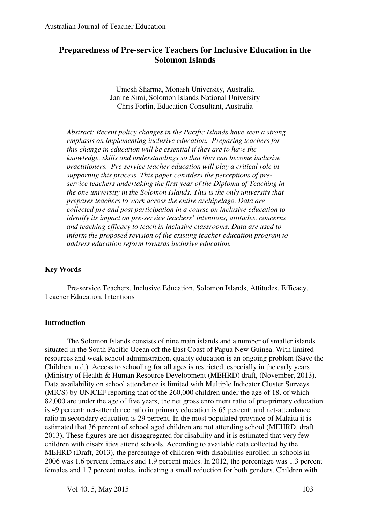# **Preparedness of Pre-service Teachers for Inclusive Education in the Solomon Islands**

Umesh Sharma, Monash University, Australia Janine Simi, Solomon Islands National University Chris Forlin, Education Consultant, Australia

*Abstract: Recent policy changes in the Pacific Islands have seen a strong emphasis on implementing inclusive education. Preparing teachers for this change in education will be essential if they are to have the knowledge, skills and understandings so that they can become inclusive practitioners. Pre-service teacher education will play a critical role in supporting this process. This paper considers the perceptions of preservice teachers undertaking the first year of the Diploma of Teaching in the one university in the Solomon Islands. This is the only university that prepares teachers to work across the entire archipelago. Data are collected pre and post participation in a course on inclusive education to identify its impact on pre-service teachers' intentions, attitudes, concerns and teaching efficacy to teach in inclusive classrooms. Data are used to inform the proposed revision of the existing teacher education program to address education reform towards inclusive education.* 

#### **Key Words**

Pre-service Teachers, Inclusive Education, Solomon Islands, Attitudes, Efficacy, Teacher Education, Intentions

#### **Introduction**

The Solomon Islands consists of nine main islands and a number of smaller islands situated in the South Pacific Ocean off the East Coast of Papua New Guinea. With limited resources and weak school administration, quality education is an ongoing problem (Save the Children, n.d.). Access to schooling for all ages is restricted, especially in the early years (Ministry of Health & Human Resource Development (MEHRD) draft, (November, 2013). Data availability on school attendance is limited with Multiple Indicator Cluster Surveys (MICS) by UNICEF reporting that of the 260,000 children under the age of 18, of which 82,000 are under the age of five years, the net gross enrolment ratio of pre-primary education is 49 percent; net-attendance ratio in primary education is 65 percent; and net-attendance ratio in secondary education is 29 percent. In the most populated province of Malaita it is estimated that 36 percent of school aged children are not attending school (MEHRD, draft 2013). These figures are not disaggregated for disability and it is estimated that very few children with disabilities attend schools. According to available data collected by the MEHRD (Draft, 2013), the percentage of children with disabilities enrolled in schools in 2006 was 1.6 percent females and 1.9 percent males. In 2012, the percentage was 1.3 percent females and 1.7 percent males, indicating a small reduction for both genders. Children with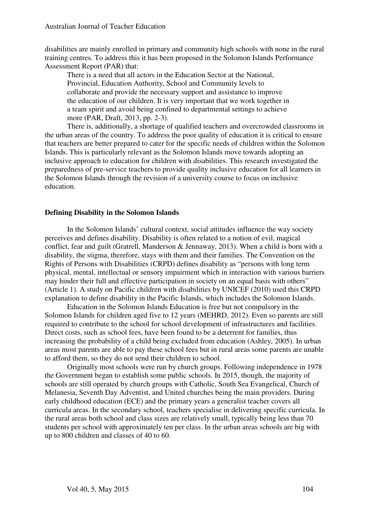disabilities are mainly enrolled in primary and community high schools with none in the rural training centres. To address this it has been proposed in the Solomon Islands Performance Assessment Report (PAR) that:

There is a need that all actors in the Education Sector at the National, Provincial, Education Authority, School and Community levels to collaborate and provide the necessary support and assistance to improve the education of our children. It is very important that we work together in a team spirit and avoid being confined to departmental settings to achieve more (PAR, Draft, 2013, pp. 2-3).

There is, additionally, a shortage of qualified teachers and overcrowded classrooms in the urban areas of the country. To address the poor quality of education it is critical to ensure that teachers are better prepared to cater for the specific needs of children within the Solomon Islands. This is particularly relevant as the Solomon Islands move towards adopting an inclusive approach to education for children with disabilities. This research investigated the preparedness of pre-service teachers to provide quality inclusive education for all learners in the Solomon Islands through the revision of a university course to focus on inclusive education.

# **Defining Disability in the Solomon Islands**

In the Solomon Islands' cultural context, social attitudes influence the way society perceives and defines disability. Disability is often related to a notion of evil, magical conflict, fear and guilt (Gratrell, Manderson & Jennaway, 2013). When a child is born with a disability, the stigma, therefore, stays with them and their families. The Convention on the Rights of Persons with Disabilities (CRPD) defines disability as "persons with long term physical, mental, intellectual or sensory impairment which in interaction with various barriers may hinder their full and effective participation in society on an equal basis with others" (Article 1). A study on Pacific children with disabilities by UNICEF (2010) used this CRPD explanation to define disability in the Pacific Islands, which includes the Solomon Islands.

Education in the Solomon Islands Education is free but not compulsory in the Solomon Islands for children aged five to 12 years (MEHRD, 2012). Even so parents are still required to contribute to the school for school development of infrastructures and facilities. Direct costs, such as school fees, have been found to be a deterrent for families, thus increasing the probability of a child being excluded from education (Ashley, 2005). In urban areas most parents are able to pay these school fees but in rural areas some parents are unable to afford them, so they do not send their children to school.

Originally most schools were run by church groups. Following independence in 1978 the Government began to establish some public schools. In 2015, though, the majority of schools are still operated by church groups with Catholic, South Sea Evangelical, Church of Melanesia, Seventh Day Adventist, and United churches being the main providers. During early childhood education (ECE) and the primary years a generalist teacher covers all curricula areas. In the secondary school, teachers specialise in delivering specific curricula. In the rural areas both school and class sizes are relatively small, typically being less than 70 students per school with approximately ten per class. In the urban areas schools are big with up to 800 children and classes of 40 to 60.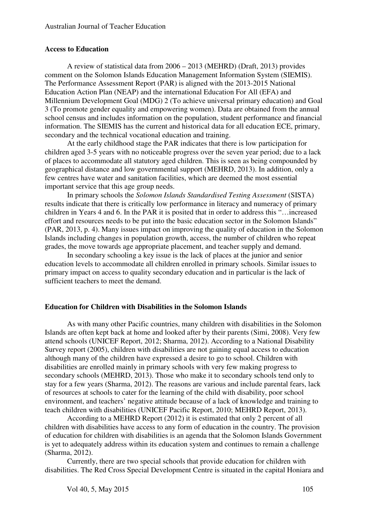#### **Access to Education**

A review of statistical data from 2006 – 2013 (MEHRD) (Draft, 2013) provides comment on the Solomon Islands Education Management Information System (SIEMIS). The Performance Assessment Report (PAR) is aligned with the 2013-2015 National Education Action Plan (NEAP) and the international Education For All (EFA) and Millennium Development Goal (MDG) 2 (To achieve universal primary education) and Goal 3 (To promote gender equality and empowering women). Data are obtained from the annual school census and includes information on the population, student performance and financial information. The SIEMIS has the current and historical data for all education ECE, primary, secondary and the technical vocational education and training.

At the early childhood stage the PAR indicates that there is low participation for children aged 3-5 years with no noticeable progress over the seven year period; due to a lack of places to accommodate all statutory aged children. This is seen as being compounded by geographical distance and low governmental support (MEHRD, 2013). In addition, only a few centres have water and sanitation facilities, which are deemed the most essential important service that this age group needs.

In primary schools the *Solomon Islands Standardised Testing Assessment* (SISTA) results indicate that there is critically low performance in literacy and numeracy of primary children in Years 4 and 6. In the PAR it is posited that in order to address this "…increased effort and resources needs to be put into the basic education sector in the Solomon Islands" (PAR, 2013, p. 4). Many issues impact on improving the quality of education in the Solomon Islands including changes in population growth, access, the number of children who repeat grades, the move towards age appropriate placement, and teacher supply and demand.

In secondary schooling a key issue is the lack of places at the junior and senior education levels to accommodate all children enrolled in primary schools. Similar issues to primary impact on access to quality secondary education and in particular is the lack of sufficient teachers to meet the demand.

#### **Education for Children with Disabilities in the Solomon Islands**

As with many other Pacific countries, many children with disabilities in the Solomon Islands are often kept back at home and looked after by their parents (Simi, 2008). Very few attend schools (UNICEF Report, 2012; Sharma, 2012). According to a National Disability Survey report (2005), children with disabilities are not gaining equal access to education although many of the children have expressed a desire to go to school. Children with disabilities are enrolled mainly in primary schools with very few making progress to secondary schools (MEHRD, 2013). Those who make it to secondary schools tend only to stay for a few years (Sharma, 2012). The reasons are various and include parental fears, lack of resources at schools to cater for the learning of the child with disability, poor school environment, and teachers' negative attitude because of a lack of knowledge and training to teach children with disabilities (UNICEF Pacific Report, 2010; MEHRD Report, 2013).

According to a MEHRD Report (2012) it is estimated that only 2 percent of all children with disabilities have access to any form of education in the country. The provision of education for children with disabilities is an agenda that the Solomon Islands Government is yet to adequately address within its education system and continues to remain a challenge (Sharma, 2012).

Currently, there are two special schools that provide education for children with disabilities. The Red Cross Special Development Centre is situated in the capital Honiara and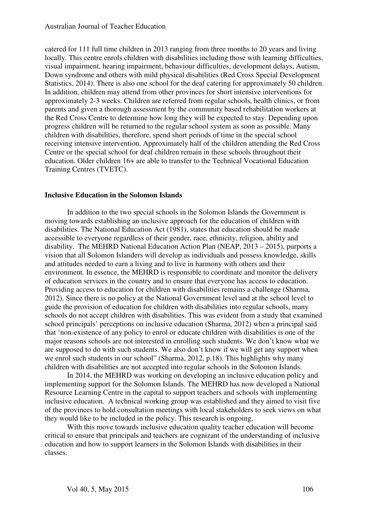catered for 111 full time children in 2013 ranging from three months to 20 years and living locally. This centre enrols children with disabilities including those with learning difficulties, visual impairment, hearing impairment, behaviour difficulties, development delays, Autism, Down syndrome and others with mild physical disabilities (Red Cross Special Development Statistics, 2014). There is also one school for the deaf catering for approximately 50 children. In addition, children may attend from other provinces for short intensive interventions for approximately 2-3 weeks. Children are referred from regular schools, health clinics, or from parents and given a thorough assessment by the community based rehabilitation workers at the Red Cross Centre to determine how long they will be expected to stay. Depending upon progress children will be returned to the regular school system as soon as possible. Many children with disabilities, therefore, spend short periods of time in the special school receiving intensive intervention. Approximately half of the children attending the Red Cross Centre or the special school for deaf children remain in these schools throughout their education. Older children 16+ are able to transfer to the Technical Vocational Education Training Centres (TVETC).

#### **Inclusive Education in the Solomon Islands**

In addition to the two special schools in the Solomon Islands the Government is moving towards establishing an inclusive approach for the education of children with disabilities. The National Education Act (1981), states that education should be made accessible to everyone regardless of their gender, race, ethnicity, religion, ability and disability. The MEHRD National Education Action Plan (NEAP, 2013 – 2015), purports a vision that all Solomon Islanders will develop as individuals and possess knowledge, skills and attitudes needed to earn a living and to live in harmony with others and their environment. In essence, the MEHRD is responsible to coordinate and monitor the delivery of education services in the country and to ensure that everyone has access to education. Providing access to education for children with disabilities remains a challenge (Sharma, 2012). Since there is no policy at the National Government level and at the school level to guide the provision of education for children with disabilities into regular schools, many schools do not accept children with disabilities. This was evident from a study that examined school principals' perceptions on inclusive education (Sharma, 2012) when a principal said that 'non-existence of any policy to enrol or educate children with disabilities is one of the major reasons schools are not interested in enrolling such students. We don't know what we are supposed to do with such students. We also don't know if we will get any support when we enrol such students in our school" (Sharma, 2012, p.18). This highlights why many children with disabilities are not accepted into regular schools in the Solomon Islands.

In 2014, the MEHRD was working on developing an inclusive education policy and implementing support for the Solomon Islands. The MEHRD has now developed a National Resource Learning Centre in the capital to support teachers and schools with implementing inclusive education. A technical working group was established and they aimed to visit five of the provinces to hold consultation meetings with local stakeholders to seek views on what they would like to be included in the policy. This research is ongoing.

With this move towards inclusive education quality teacher education will become critical to ensure that principals and teachers are cognizant of the understanding of inclusive education and how to support learners in the Solomon Islands with disabilities in their classes.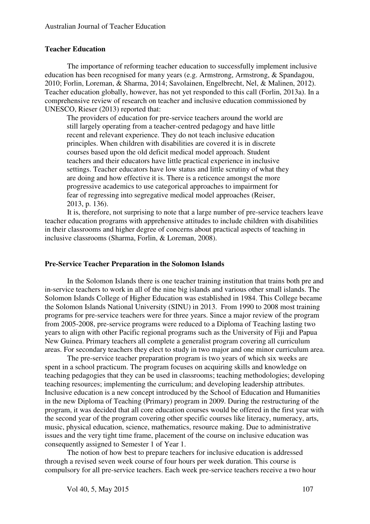#### **Teacher Education**

The importance of reforming teacher education to successfully implement inclusive education has been recognised for many years (e.g. Armstrong, Armstrong, & Spandagou, 2010; Forlin, Loreman, & Sharma, 2014; Savolainen, Engelbrecht, Nel, & Malinen, 2012). Teacher education globally, however, has not yet responded to this call (Forlin, 2013a). In a comprehensive review of research on teacher and inclusive education commissioned by UNESCO, Rieser (2013) reported that:

The providers of education for pre-service teachers around the world are still largely operating from a teacher-centred pedagogy and have little recent and relevant experience. They do not teach inclusive education principles. When children with disabilities are covered it is in discrete courses based upon the old deficit medical model approach. Student teachers and their educators have little practical experience in inclusive settings. Teacher educators have low status and little scrutiny of what they are doing and how effective it is. There is a reticence amongst the more progressive academics to use categorical approaches to impairment for fear of regressing into segregative medical model approaches (Reiser, 2013, p. 136).

It is, therefore, not surprising to note that a large number of pre-service teachers leave teacher education programs with apprehensive attitudes to include children with disabilities in their classrooms and higher degree of concerns about practical aspects of teaching in inclusive classrooms (Sharma, Forlin, & Loreman, 2008).

#### **Pre-Service Teacher Preparation in the Solomon Islands**

In the Solomon Islands there is one teacher training institution that trains both pre and in-service teachers to work in all of the nine big islands and various other small islands. The Solomon Islands College of Higher Education was established in 1984. This College became the Solomon Islands National University (SINU) in 2013. From 1990 to 2008 most training programs for pre-service teachers were for three years. Since a major review of the program from 2005-2008, pre-service programs were reduced to a Diploma of Teaching lasting two years to align with other Pacific regional programs such as the University of Fiji and Papua New Guinea. Primary teachers all complete a generalist program covering all curriculum areas. For secondary teachers they elect to study in two major and one minor curriculum area.

The pre-service teacher preparation program is two years of which six weeks are spent in a school practicum. The program focuses on acquiring skills and knowledge on teaching pedagogies that they can be used in classrooms; teaching methodologies; developing teaching resources; implementing the curriculum; and developing leadership attributes. Inclusive education is a new concept introduced by the School of Education and Humanities in the new Diploma of Teaching (Primary) program in 2009. During the restructuring of the program, it was decided that all core education courses would be offered in the first year with the second year of the program covering other specific courses like literacy, numeracy, arts, music, physical education, science, mathematics, resource making. Due to administrative issues and the very tight time frame, placement of the course on inclusive education was consequently assigned to Semester 1 of Year 1.

The notion of how best to prepare teachers for inclusive education is addressed through a revised seven week course of four hours per week duration. This course is compulsory for all pre-service teachers. Each week pre-service teachers receive a two hour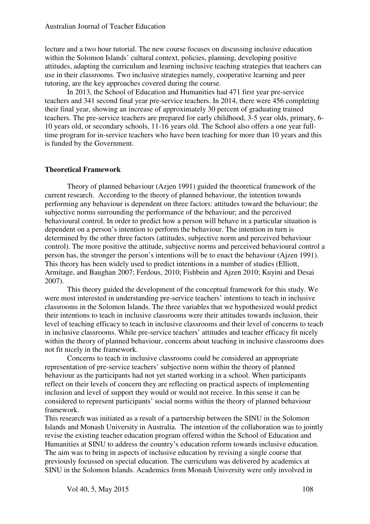lecture and a two hour tutorial. The new course focuses on discussing inclusive education within the Solomon Islands' cultural context, policies, planning, developing positive attitudes, adapting the curriculum and learning inclusive teaching strategies that teachers can use in their classrooms. Two inclusive strategies namely, cooperative learning and peer tutoring, are the key approaches covered during the course.

In 2013, the School of Education and Humanities had 471 first year pre-service teachers and 341 second final year pre-service teachers. In 2014, there were 456 completing their final year, showing an increase of approximately 30 percent of graduating trained teachers. The pre-service teachers are prepared for early childhood, 3-5 year olds, primary, 6- 10 years old, or secondary schools, 11-16 years old. The School also offers a one year fulltime program for in-service teachers who have been teaching for more than 10 years and this is funded by the Government.

#### **Theoretical Framework**

Theory of planned behaviour (Azjen 1991) guided the theoretical framework of the current research. According to the theory of planned behaviour, the intention towards performing any behaviour is dependent on three factors: attitudes toward the behaviour; the subjective norms surrounding the performance of the behaviour; and the perceived behavioural control. In order to predict how a person will behave in a particular situation is dependent on a person's intention to perform the behaviour. The intention in turn is determined by the other three factors (attitudes, subjective norm and perceived behaviour control). The more positive the attitude, subjective norms and perceived behavioural control a person has, the stronger the person's intentions will be to enact the behaviour (Ajzen 1991). This theory has been widely used to predict intentions in a number of studies (Elliott, Armitage, and Baughan 2007; Ferdous, 2010; Fishbein and Ajzen 2010; Kuyini and Desai 2007).

This theory guided the development of the conceptual framework for this study. We were most interested in understanding pre-service teachers' intentions to teach in inclusive classrooms in the Solomon Islands. The three variables that we hypothesized would predict their intentions to teach in inclusive classrooms were their attitudes towards inclusion, their level of teaching efficacy to teach in inclusive classrooms and their level of concerns to teach in inclusive classrooms. While pre-service teachers' attitudes and teacher efficacy fit nicely within the theory of planned behaviour, concerns about teaching in inclusive classrooms does not fit nicely in the framework.

Concerns to teach in inclusive classrooms could be considered an appropriate representation of pre-service teachers' subjective norm within the theory of planned behaviour as the participants had not yet started working in a school. When participants reflect on their levels of concern they are reflecting on practical aspects of implementing inclusion and level of support they would or would not receive. In this sense it can be considered to represent participants' social norms within the theory of planned behaviour framework.

This research was initiated as a result of a partnership between the SINU in the Solomon Islands and Monash University in Australia. The intention of the collaboration was to jointly revise the existing teacher education program offered within the School of Education and Humanities at SINU to address the country's education reform towards inclusive education. The aim was to bring in aspects of inclusive education by revising a single course that previously focussed on special education. The curriculum was delivered by academics at SINU in the Solomon Islands. Academics from Monash University were only involved in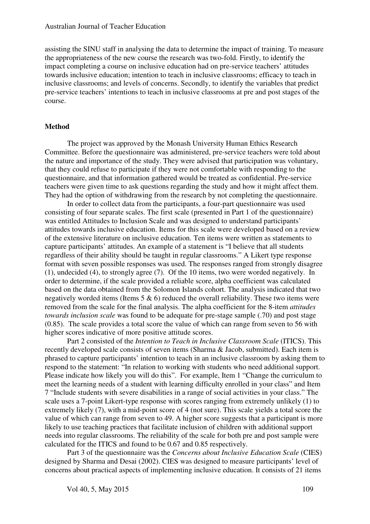assisting the SINU staff in analysing the data to determine the impact of training. To measure the appropriateness of the new course the research was two-fold. Firstly, to identify the impact completing a course on inclusive education had on pre-service teachers' attitudes towards inclusive education; intention to teach in inclusive classrooms; efficacy to teach in inclusive classrooms; and levels of concerns. Secondly, to identify the variables that predict pre-service teachers' intentions to teach in inclusive classrooms at pre and post stages of the course.

#### **Method**

The project was approved by the Monash University Human Ethics Research Committee. Before the questionnaire was administered, pre-service teachers were told about the nature and importance of the study. They were advised that participation was voluntary, that they could refuse to participate if they were not comfortable with responding to the questionnaire, and that information gathered would be treated as confidential. Pre-service teachers were given time to ask questions regarding the study and how it might affect them. They had the option of withdrawing from the research by not completing the questionnaire.

In order to collect data from the participants, a four-part questionnaire was used consisting of four separate scales. The first scale (presented in Part 1 of the questionnaire) was entitled Attitudes to Inclusion Scale and was designed to understand participants' attitudes towards inclusive education. Items for this scale were developed based on a review of the extensive literature on inclusive education. Ten items were written as statements to capture participants' attitudes. An example of a statement is "I believe that all students regardless of their ability should be taught in regular classrooms." A Likert type response format with seven possible responses was used. The responses ranged from strongly disagree (1), undecided (4), to strongly agree (7). Of the 10 items, two were worded negatively. In order to determine, if the scale provided a reliable score, alpha coefficient was calculated based on the data obtained from the Solomon Islands cohort. The analysis indicated that two negatively worded items (Items 5 & 6) reduced the overall reliability. These two items were removed from the scale for the final analysis. The alpha coefficient for the 8-item *attitudes towards inclusion scale* was found to be adequate for pre-stage sample (.70) and post stage (0.85). The scale provides a total score the value of which can range from seven to 56 with higher scores indicative of more positive attitude scores.

Part 2 consisted of the *Intention to Teach in Inclusive Classroom Scale* (ITICS). This recently developed scale consists of seven items (Sharma & Jacob, submitted). Each item is phrased to capture participants' intention to teach in an inclusive classroom by asking them to respond to the statement: "In relation to working with students who need additional support. Please indicate how likely you will do this". For example, Item 1 "Change the curriculum to meet the learning needs of a student with learning difficulty enrolled in your class" and Item 7 "Include students with severe disabilities in a range of social activities in your class." The scale uses a 7-point Likert-type response with scores ranging from extremely unlikely (1) to extremely likely (7), with a mid-point score of 4 (not sure). This scale yields a total score the value of which can range from seven to 49. A higher score suggests that a participant is more likely to use teaching practices that facilitate inclusion of children with additional support needs into regular classrooms. The reliability of the scale for both pre and post sample were calculated for the ITICS and found to be 0.67 and 0.85 respectively.

Part 3 of the questionnaire was the *Concerns about Inclusive Education Scale* (CIES) designed by Sharma and Desai (2002). CIES was designed to measure participants' level of concerns about practical aspects of implementing inclusive education. It consists of 21 items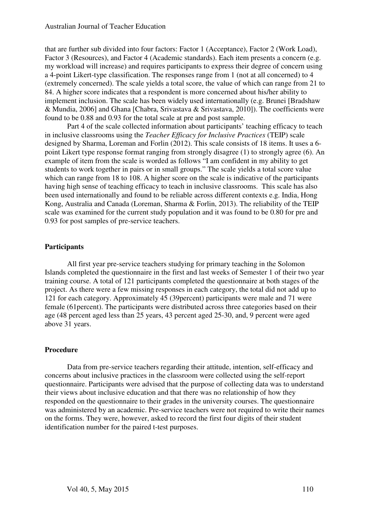that are further sub divided into four factors: Factor 1 (Acceptance), Factor 2 (Work Load), Factor 3 (Resources), and Factor 4 (Academic standards). Each item presents a concern (e.g. my workload will increase) and requires participants to express their degree of concern using a 4-point Likert-type classification. The responses range from 1 (not at all concerned) to 4 (extremely concerned). The scale yields a total score, the value of which can range from 21 to 84. A higher score indicates that a respondent is more concerned about his/her ability to implement inclusion. The scale has been widely used internationally (e.g. Brunei [Bradshaw & Mundia, 2006] and Ghana [Chabra, Srivastava & Srivastava, 2010]). The coefficients were found to be 0.88 and 0.93 for the total scale at pre and post sample.

Part 4 of the scale collected information about participants' teaching efficacy to teach in inclusive classrooms using the *Teacher Efficacy for Inclusive Practices* (TEIP) scale designed by Sharma, Loreman and Forlin (2012). This scale consists of 18 items. It uses a 6 point Likert type response format ranging from strongly disagree (1) to strongly agree (6). An example of item from the scale is worded as follows "I am confident in my ability to get students to work together in pairs or in small groups." The scale yields a total score value which can range from 18 to 108. A higher score on the scale is indicative of the participants having high sense of teaching efficacy to teach in inclusive classrooms. This scale has also been used internationally and found to be reliable across different contexts e.g. India, Hong Kong, Australia and Canada (Loreman, Sharma & Forlin, 2013). The reliability of the TEIP scale was examined for the current study population and it was found to be 0.80 for pre and 0.93 for post samples of pre-service teachers.

#### **Participants**

All first year pre-service teachers studying for primary teaching in the Solomon Islands completed the questionnaire in the first and last weeks of Semester 1 of their two year training course. A total of 121 participants completed the questionnaire at both stages of the project. As there were a few missing responses in each category, the total did not add up to 121 for each category. Approximately 45 (39percent) participants were male and 71 were female (61percent). The participants were distributed across three categories based on their age (48 percent aged less than 25 years, 43 percent aged 25-30, and, 9 percent were aged above 31 years.

#### **Procedure**

Data from pre-service teachers regarding their attitude, intention, self-efficacy and concerns about inclusive practices in the classroom were collected using the self-report questionnaire. Participants were advised that the purpose of collecting data was to understand their views about inclusive education and that there was no relationship of how they responded on the questionnaire to their grades in the university courses. The questionnaire was administered by an academic. Pre-service teachers were not required to write their names on the forms. They were, however, asked to record the first four digits of their student identification number for the paired t-test purposes.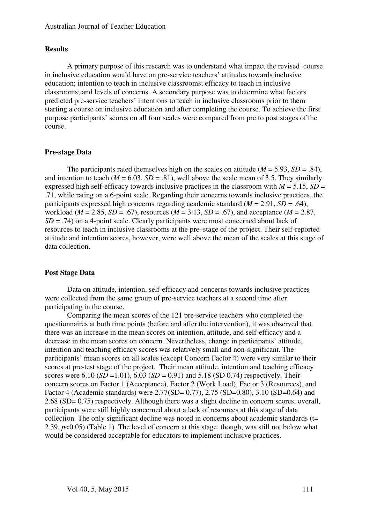# **Results**

A primary purpose of this research was to understand what impact the revised course in inclusive education would have on pre-service teachers' attitudes towards inclusive education; intention to teach in inclusive classrooms; efficacy to teach in inclusive classrooms; and levels of concerns. A secondary purpose was to determine what factors predicted pre-service teachers' intentions to teach in inclusive classrooms prior to them starting a course on inclusive education and after completing the course. To achieve the first purpose participants' scores on all four scales were compared from pre to post stages of the course.

# **Pre-stage Data**

The participants rated themselves high on the scales on attitude ( $M = 5.93$ ,  $SD = .84$ ), and intention to teach ( $M = 6.03$ ,  $SD = .81$ ), well above the scale mean of 3.5. They similarly expressed high self-efficacy towards inclusive practices in the classroom with  $M = 5.15$ ,  $SD =$ .71, while rating on a 6-point scale. Regarding their concerns towards inclusive practices, the participants expressed high concerns regarding academic standard ( $M = 2.91$ ,  $SD = .64$ ), workload ( $M = 2.85$ ,  $SD = .67$ ), resources ( $M = 3.13$ ,  $SD = .67$ ), and acceptance ( $M = 2.87$ , *SD* = .74) on a 4-point scale. Clearly participants were most concerned about lack of resources to teach in inclusive classrooms at the pre–stage of the project. Their self-reported attitude and intention scores, however, were well above the mean of the scales at this stage of data collection.

# **Post Stage Data**

Data on attitude, intention, self-efficacy and concerns towards inclusive practices were collected from the same group of pre-service teachers at a second time after participating in the course.

 Comparing the mean scores of the 121 pre-service teachers who completed the questionnaires at both time points (before and after the intervention), it was observed that there was an increase in the mean scores on intention, attitude, and self-efficacy and a decrease in the mean scores on concern. Nevertheless, change in participants' attitude, intention and teaching efficacy scores was relatively small and non-significant. The participants' mean scores on all scales (except Concern Factor 4) were very similar to their scores at pre-test stage of the project. Their mean attitude, intention and teaching efficacy scores were 6.10 (*SD* = 1.01), 6.03 (*SD* = 0.91) and 5.18 (*SD* 0.74) respectively. Their concern scores on Factor 1 (Acceptance), Factor 2 (Work Load), Factor 3 (Resources), and Factor 4 (Academic standards) were 2.77(SD= 0.77), 2.75 (SD=0.80), 3.10 (SD=0.64) and 2.68 (SD= 0.75) respectively. Although there was a slight decline in concern scores, overall, participants were still highly concerned about a lack of resources at this stage of data collection. The only significant decline was noted in concerns about academic standards  $(t=$ 2.39, *p*<0.05) (Table 1). The level of concern at this stage, though, was still not below what would be considered acceptable for educators to implement inclusive practices.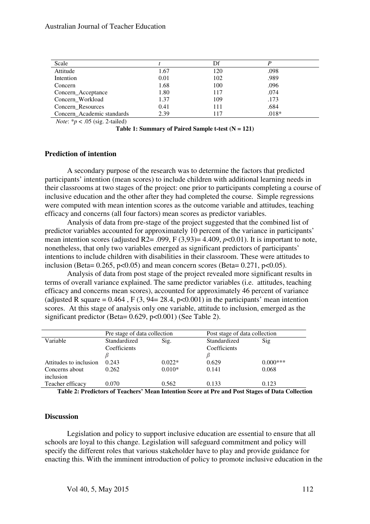| Scale                      |      | Df  |         |
|----------------------------|------|-----|---------|
| Attitude                   | 1.67 | 120 | .098    |
| Intention                  | 0.01 | 102 | .989    |
| Concern                    | 1.68 | 100 | .096    |
| Concern_Acceptance         | 1.80 | 117 | .074    |
| Concern_Workload           | 1.37 | 109 | .173    |
| Concern_Resources          | 0.41 | 111 | .684    |
| Concern Academic standards | 2.39 | 117 | $.018*$ |

*Note*: \**p* < .05 (sig. 2-tailed)

**Table 1: Summary of Paired Sample t-test (N = 121)** 

#### **Prediction of intention**

A secondary purpose of the research was to determine the factors that predicted participants' intention (mean scores) to include children with additional learning needs in their classrooms at two stages of the project: one prior to participants completing a course of inclusive education and the other after they had completed the course. Simple regressions were computed with mean intention scores as the outcome variable and attitudes, teaching efficacy and concerns (all four factors) mean scores as predictor variables.

Analysis of data from pre-stage of the project suggested that the combined list of predictor variables accounted for approximately 10 percent of the variance in participants' mean intention scores (adjusted R2= .099, F (3,93)= 4.409, *p*<0.01). It is important to note, nonetheless, that only two variables emerged as significant predictors of participants' intentions to include children with disabilities in their classroom. These were attitudes to inclusion (Beta=  $0.265$ , p< $0.05$ ) and mean concern scores (Beta=  $0.271$ , p< $0.05$ ).

Analysis of data from post stage of the project revealed more significant results in terms of overall variance explained. The same predictor variables (i.e. attitudes, teaching efficacy and concerns mean scores), accounted for approximately 46 percent of variance (adjusted R square =  $0.464$ , F  $(3, 94=28.4, p<0.001)$  in the participants' mean intention scores. At this stage of analysis only one variable, attitude to inclusion, emerged as the significant predictor (Beta= 0.629, p<0.001) (See Table 2).

| Pre stage of data collection |          | Post stage of data collection |            |
|------------------------------|----------|-------------------------------|------------|
| Standardized                 | Sig.     | Standardized                  | Sig        |
| Coefficients                 |          | Coefficients                  |            |
|                              |          |                               |            |
| 0.243                        | $0.022*$ | 0.629                         | $0.000***$ |
| 0.262                        | $0.010*$ | 0.141                         | 0.068      |
|                              |          |                               |            |
| 0.070                        | 0.562    | 0.133                         | 0.123      |
|                              |          |                               |            |

**Table 2: Predictors of Teachers' Mean Intention Score at Pre and Post Stages of Data Collection** 

#### **Discussion**

Legislation and policy to support inclusive education are essential to ensure that all schools are loyal to this change. Legislation will safeguard commitment and policy will specify the different roles that various stakeholder have to play and provide guidance for enacting this. With the imminent introduction of policy to promote inclusive education in the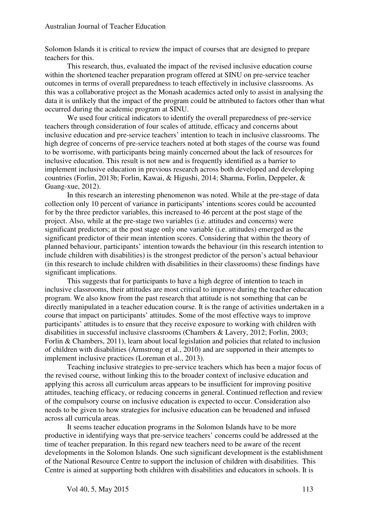Solomon Islands it is critical to review the impact of courses that are designed to prepare teachers for this.

This research, thus, evaluated the impact of the revised inclusive education course within the shortened teacher preparation program offered at SINU on pre-service teacher outcomes in terms of overall preparedness to teach effectively in inclusive classrooms. As this was a collaborative project as the Monash academics acted only to assist in analysing the data it is unlikely that the impact of the program could be attributed to factors other than what occurred during the academic program at SINU.

We used four critical indicators to identify the overall preparedness of pre-service teachers through consideration of four scales of attitude, efficacy and concerns about inclusive education and pre-service teachers' intention to teach in inclusive classrooms. The high degree of concerns of pre-service teachers noted at both stages of the course was found to be worrisome, with participants being mainly concerned about the lack of resources for inclusive education. This result is not new and is frequently identified as a barrier to implement inclusive education in previous research across both developed and developing countries (Forlin, 2013b; Forlin, Kawai, & Higushi, 2014; Sharma, Forlin, Deppeler, & Guang-xue, 2012).

In this research an interesting phenomenon was noted. While at the pre-stage of data collection only 10 percent of variance in participants' intentions scores could be accounted for by the three predictor variables, this increased to 46 percent at the post stage of the project. Also, while at the pre-stage two variables (i.e. attitudes and concerns) were significant predictors; at the post stage only one variable (i.e. attitudes) emerged as the significant predictor of their mean intention scores. Considering that within the theory of planned behaviour, participants' intention towards the behaviour (in this research intention to include children with disabilities) is the strongest predictor of the person's actual behaviour (in this research to include children with disabilities in their classrooms) these findings have significant implications.

This suggests that for participants to have a high degree of intention to teach in inclusive classrooms, their attitudes are most critical to improve during the teacher education program. We also know from the past research that attitude is not something that can be directly manipulated in a teacher education course. It is the range of activities undertaken in a course that impact on participants' attitudes. Some of the most effective ways to improve participants' attitudes is to ensure that they receive exposure to working with children with disabilities in successful inclusive classrooms (Chambers & Lavery, 2012; Forlin, 2003; Forlin & Chambers, 2011), learn about local legislation and policies that related to inclusion of children with disabilities (Armstrong et al., 2010) and are supported in their attempts to implement inclusive practices (Loreman et al., 2013).

Teaching inclusive strategies to pre-service teachers which has been a major focus of the revised course, without linking this to the broader context of inclusive education and applying this across all curriculum areas appears to be insufficient for improving positive attitudes, teaching efficacy, or reducing concerns in general. Continued reflection and review of the compulsory course on inclusive education is expected to occur. Consideration also needs to be given to how strategies for inclusive education can be broadened and infused across all curricula areas.

It seems teacher education programs in the Solomon Islands have to be more productive in identifying ways that pre-service teachers' concerns could be addressed at the time of teacher preparation. In this regard new teachers need to be aware of the recent developments in the Solomon Islands. One such significant development is the establishment of the National Resource Centre to support the inclusion of children with disabilities. This Centre is aimed at supporting both children with disabilities and educators in schools. It is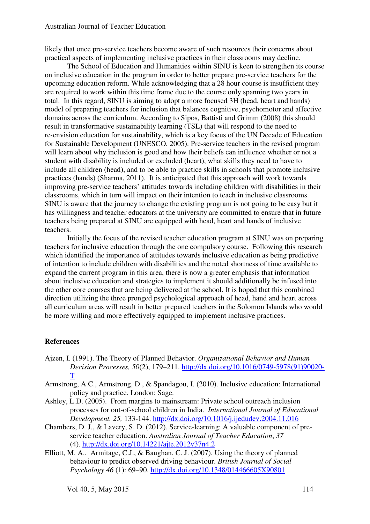likely that once pre-service teachers become aware of such resources their concerns about practical aspects of implementing inclusive practices in their classrooms may decline.

The School of Education and Humanities within SINU is keen to strengthen its course on inclusive education in the program in order to better prepare pre-service teachers for the upcoming education reform. While acknowledging that a 28 hour course is insufficient they are required to work within this time frame due to the course only spanning two years in total. In this regard, SINU is aiming to adopt a more focused 3H (head, heart and hands) model of preparing teachers for inclusion that balances cognitive, psychomotor and affective domains across the curriculum. According to Sipos, Battisti and Grimm (2008) this should result in transformative sustainability learning (TSL) that will respond to the need to re‐envision education for sustainability, which is a key focus of the UN Decade of Education for Sustainable Development (UNESCO, 2005). Pre-service teachers in the revised program will learn about why inclusion is good and how their beliefs can influence whether or not a student with disability is included or excluded (heart), what skills they need to have to include all children (head), and to be able to practice skills in schools that promote inclusive practices (hands) (Sharma, 2011). It is anticipated that this approach will work towards improving pre-service teachers' attitudes towards including children with disabilities in their classrooms, which in turn will impact on their intention to teach in inclusive classrooms. SINU is aware that the journey to change the existing program is not going to be easy but it has willingness and teacher educators at the university are committed to ensure that in future teachers being prepared at SINU are equipped with head, heart and hands of inclusive teachers.

Initially the focus of the revised teacher education program at SINU was on preparing teachers for inclusive education through the one compulsory course. Following this research which identified the importance of attitudes towards inclusive education as being predictive of intention to include children with disabilities and the noted shortness of time available to expand the current program in this area, there is now a greater emphasis that information about inclusive education and strategies to implement it should additionally be infused into the other core courses that are being delivered at the school. It is hoped that this combined direction utilizing the three pronged psychological approach of head, hand and heart across all curriculum areas will result in better prepared teachers in the Solomon Islands who would be more willing and more effectively equipped to implement inclusive practices.

#### **References**

- Ajzen, I. (1991). The Theory of Planned Behavior. *Organizational Behavior and Human Decision Processes, 50*(2), 179–211. http://dx.doi.org/10.1016/0749-5978(91)90020- T
- Armstrong, A.C., Armstrong, D., & Spandagou, I. (2010). Inclusive education: International policy and practice. London: Sage.
- Ashley, L.D. (2005). From margins to mainstream: Private school outreach inclusion processes for out-of-school children in India. *International Journal of Educational Development. 25,* 133-144. http://dx.doi.org/10.1016/j.ijedudev.2004.11.016
- Chambers, D. J., & Lavery, S. D. (2012). Service-learning: A valuable component of preservice teacher education. *Australian Journal of Teacher Education*, *37*  (4). http://dx.doi.org/10.14221/ajte.2012v37n4.2
- Elliott, M. A., Armitage, C.J., & Baughan, C. J. (2007). Using the theory of planned behaviour to predict observed driving behaviour. *British Journal of Social Psychology 46* (1): 69–90. http://dx.doi.org/10.1348/014466605X90801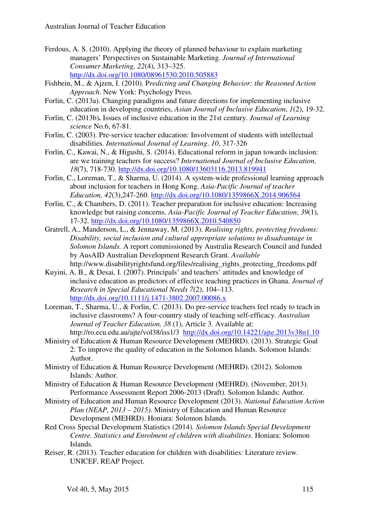- Ferdous, A. S. (2010). Applying the theory of planned behaviour to explain marketing managers' Perspectives on Sustainable Marketing. *Journal of International Consumer Marketing, 22*(4), 313–325. http://dx.doi.org/10.1080/08961530.2010.505883
- Fishbein, M., & Ajzen, I. (2010). P*redicting and Changing Behavior: the Reasoned Action Approach*. New York: Psychology Press.
- Forlin, C. (2013a). Changing paradigms and future directions for implementing inclusive education in developing countries, *Asian Journal of Inclusive Education*, *1*(2), 19-32.
- Forlin, C. (2013b)**.** Issues of inclusive education in the 21st century. *Journal of Learning science* No.6, 67-81.
- Forlin, C. (2003). Pre-service teacher education: Involvement of students with intellectual disabilities. *International Journal of Learning*. *10*, 317-326
- Forlin, C., Kawai, N., & Higushi, S. (2014). Educational reform in japan towards inclusion: are we training teachers for success? *International Journal of Inclusive Education, 18*(7), 718-730. http://dx.doi.org/10.1080/13603116.2013.819941
- Forlin, C., Loreman, T., & Sharma, U. (2014). A system-wide professional learning approach about inclusion for teachers in Hong Kong. *Asia-Pacific Journal of teacher Education, 42*(3),247-260. http://dx.doi.org/10.1080/1359866X.2014.906564
- Forlin, C., & Chambers, D. (2011). Teacher preparation for inclusive education: Increasing knowledge but raising concerns. *Asia-Pacific Journal of Teacher Education*, *39*(1), 17-32. http://dx.doi.org/10.1080/1359866X.2010.540850
- Gratrell, A., Manderson, L., & Jennaway, M. (2013). *Realising rights, protecting freedoms: Disability, social inclusion and cultural appropriate solutions to disadvantage in Solomon Islands.* A report commissioned by Australia Research Council and funded by AusAID Australian Development Research Grant. *Available*  http://www.disabilityrightsfund.org/files/realising\_rights\_protecting\_freedoms.pdf
- Kuyini, A. B., & Desai, I. (2007). Principals' and teachers' attitudes and knowledge of inclusive education as predictors of effective teaching practices in Ghana. *Journal of Research in Special Educational Needs 7*(2), 104–113. http://dx.doi.org/10.1111/j.1471-3802.2007.00086.x
- Loreman, T., Sharma, U., & Forlin, C. (2013). Do pre-service teachers feel ready to teach in inclusive classrooms? A four-country study of teaching self-efficacy. *Australian Journal of Teacher Education, 38* (1), Article 3. Available at: http://ro.ecu.edu.au/ajte/vol38/iss1/3 http://dx.doi.org/10.14221/ajte.2013v38n1.10
- Ministry of Education & Human Resource Development (MEHRD). (2013). Strategic Goal 2: To improve the quality of education in the Solomon Islands. Solomon Islands: Author.
- Ministry of Education & Human Resource Development (MEHRD). (2012). Solomon Islands: Author.
- Ministry of Education & Human Resource Development (MEHRD). (November, 2013). Performance Assessment Report 2006-2013 (Draft). Solomon Islands: Author.
- Ministry of Education and Human Resource Development (2013). *National Education Action Plan (NEAP, 2013 – 2015)*. Ministry of Education and Human Resource Development (MEHRD). Honiara: Solomon Islands*.*
- Red Cross Special Development Statistics (2014). *Solomon Islands Special Development Centre. Statistics and Enrolment of children with disabilities.* Honiara: Solomon Islands*.*
- Reiser, R. (2013). Teacher education for children with disabilities: Literature review. UNICEF, REAP Project.